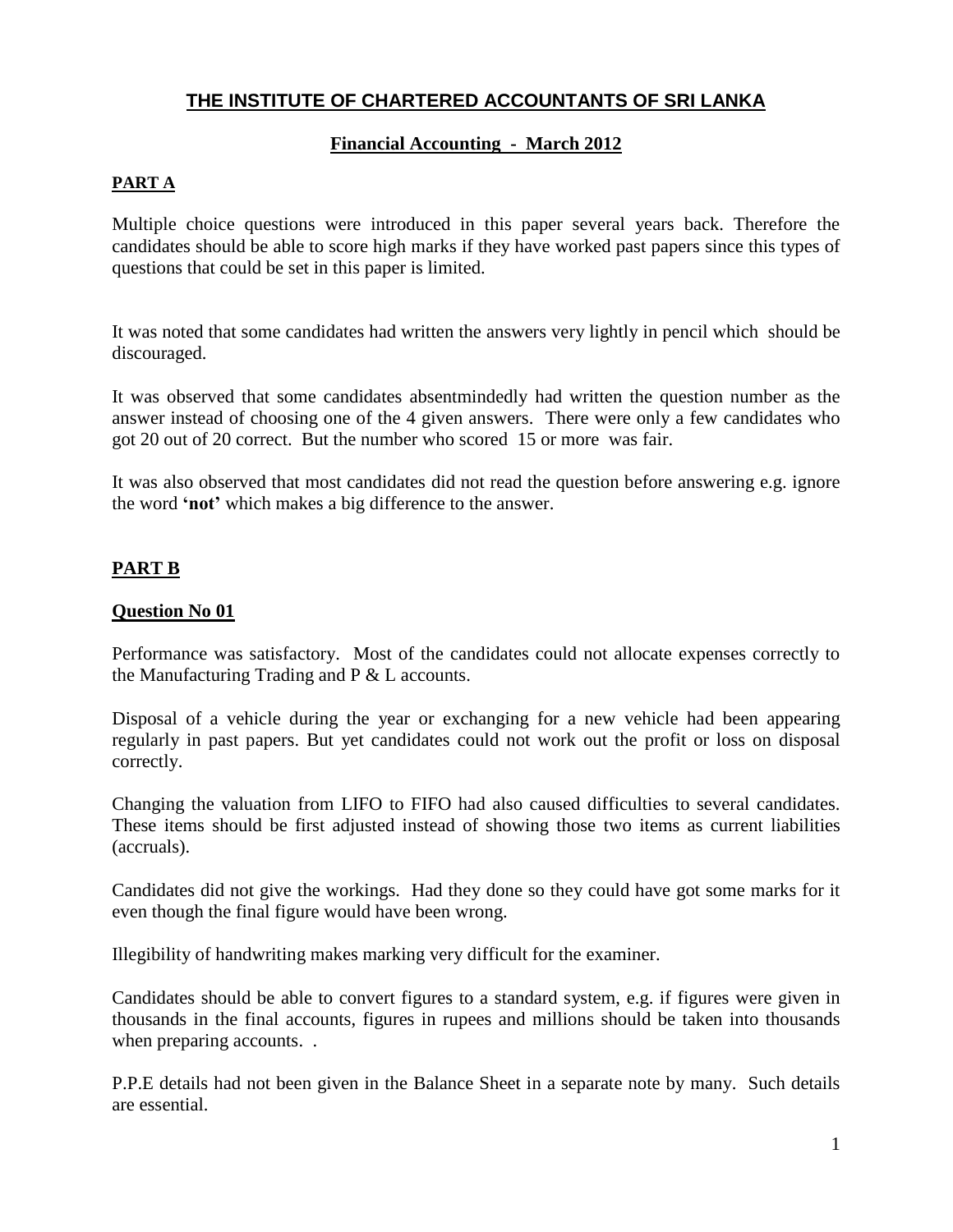## **Financial Accounting - March 2012**

# **PART A**

Multiple choice questions were introduced in this paper several years back. Therefore the candidates should be able to score high marks if they have worked past papers since this types of questions that could be set in this paper is limited.

It was noted that some candidates had written the answers very lightly in pencil which should be discouraged.

It was observed that some candidates absentmindedly had written the question number as the answer instead of choosing one of the 4 given answers. There were only a few candidates who got 20 out of 20 correct. But the number who scored 15 or more was fair.

It was also observed that most candidates did not read the question before answering e.g. ignore the word **'not'** which makes a big difference to the answer.

# **PART B**

## **Question No 01**

Performance was satisfactory. Most of the candidates could not allocate expenses correctly to the Manufacturing Trading and P & L accounts.

Disposal of a vehicle during the year or exchanging for a new vehicle had been appearing regularly in past papers. But yet candidates could not work out the profit or loss on disposal correctly.

Changing the valuation from LIFO to FIFO had also caused difficulties to several candidates. These items should be first adjusted instead of showing those two items as current liabilities (accruals).

Candidates did not give the workings. Had they done so they could have got some marks for it even though the final figure would have been wrong.

Illegibility of handwriting makes marking very difficult for the examiner.

Candidates should be able to convert figures to a standard system, e.g. if figures were given in thousands in the final accounts, figures in rupees and millions should be taken into thousands when preparing accounts...

P.P.E details had not been given in the Balance Sheet in a separate note by many. Such details are essential.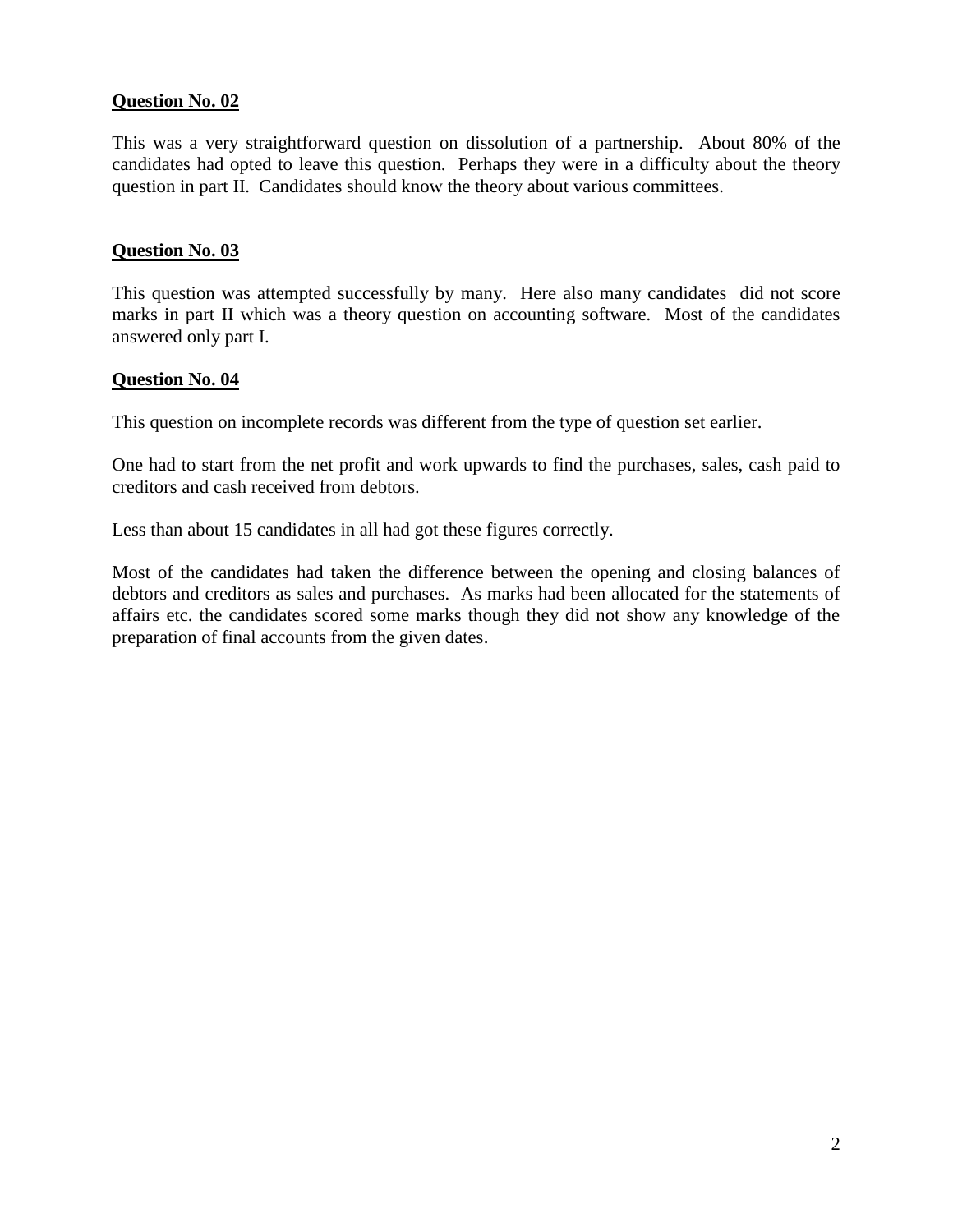## **Question No. 02**

This was a very straightforward question on dissolution of a partnership. About 80% of the candidates had opted to leave this question. Perhaps they were in a difficulty about the theory question in part II. Candidates should know the theory about various committees.

#### **Question No. 03**

This question was attempted successfully by many. Here also many candidates did not score marks in part II which was a theory question on accounting software. Most of the candidates answered only part I.

#### **Question No. 04**

This question on incomplete records was different from the type of question set earlier.

One had to start from the net profit and work upwards to find the purchases, sales, cash paid to creditors and cash received from debtors.

Less than about 15 candidates in all had got these figures correctly.

Most of the candidates had taken the difference between the opening and closing balances of debtors and creditors as sales and purchases. As marks had been allocated for the statements of affairs etc. the candidates scored some marks though they did not show any knowledge of the preparation of final accounts from the given dates.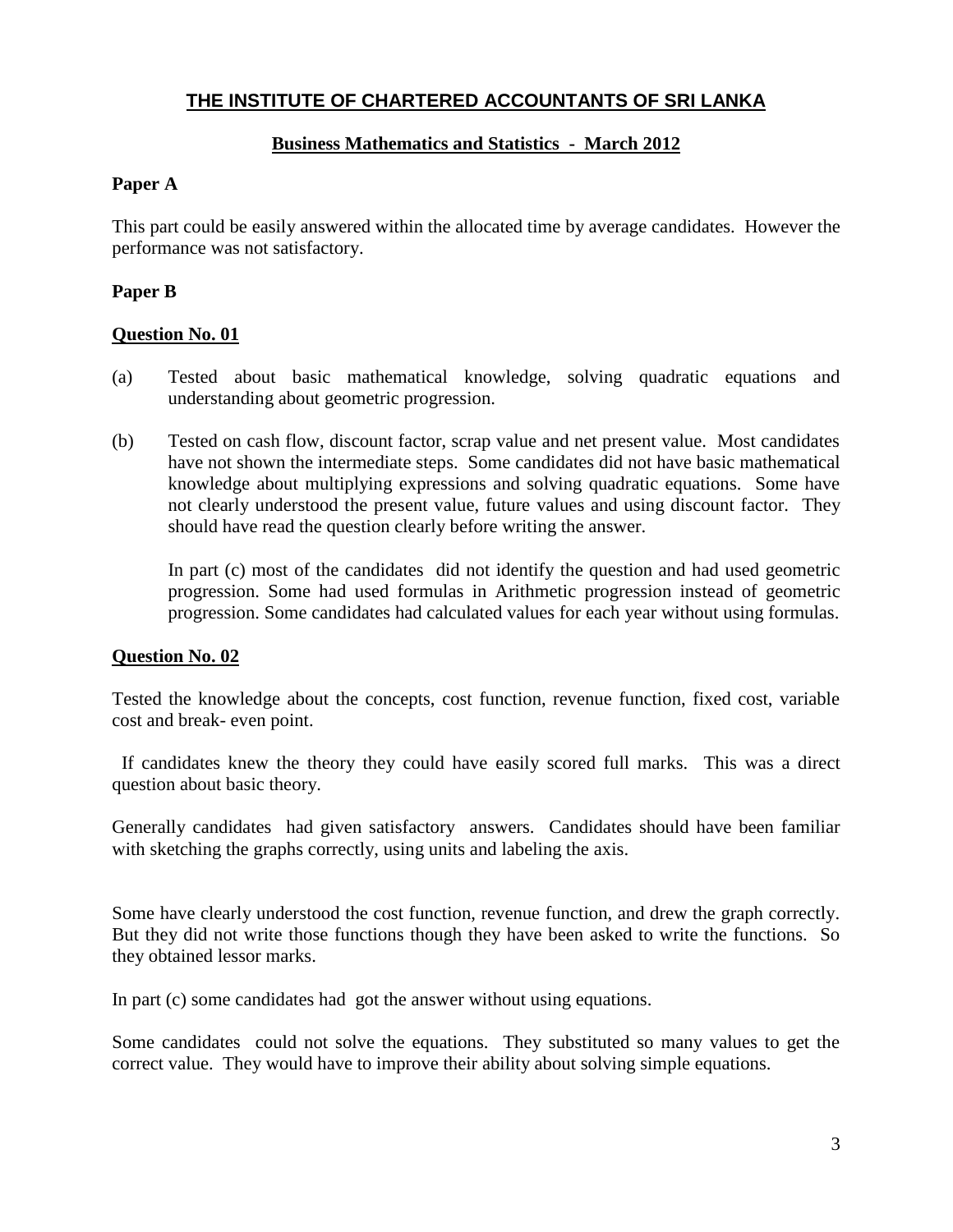## **Business Mathematics and Statistics - March 2012**

## **Paper A**

This part could be easily answered within the allocated time by average candidates. However the performance was not satisfactory.

## **Paper B**

#### **Question No. 01**

- (a) Tested about basic mathematical knowledge, solving quadratic equations and understanding about geometric progression.
- (b) Tested on cash flow, discount factor, scrap value and net present value. Most candidates have not shown the intermediate steps. Some candidates did not have basic mathematical knowledge about multiplying expressions and solving quadratic equations. Some have not clearly understood the present value, future values and using discount factor. They should have read the question clearly before writing the answer.

In part (c) most of the candidates did not identify the question and had used geometric progression. Some had used formulas in Arithmetic progression instead of geometric progression. Some candidates had calculated values for each year without using formulas.

#### **Question No. 02**

Tested the knowledge about the concepts, cost function, revenue function, fixed cost, variable cost and break- even point.

 If candidates knew the theory they could have easily scored full marks. This was a direct question about basic theory.

Generally candidates had given satisfactory answers. Candidates should have been familiar with sketching the graphs correctly, using units and labeling the axis.

Some have clearly understood the cost function, revenue function, and drew the graph correctly. But they did not write those functions though they have been asked to write the functions. So they obtained lessor marks.

In part (c) some candidates had got the answer without using equations.

Some candidates could not solve the equations. They substituted so many values to get the correct value. They would have to improve their ability about solving simple equations.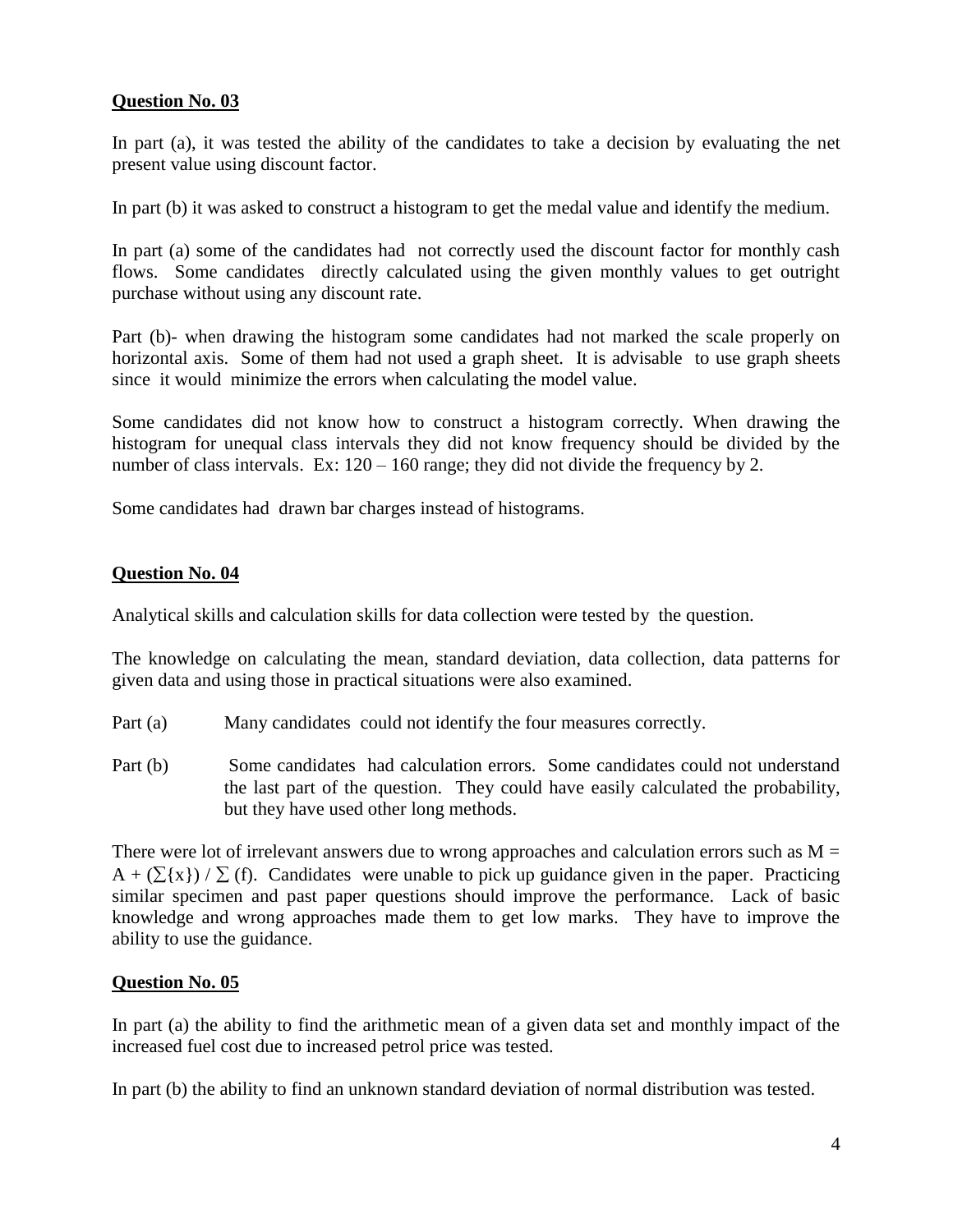## **Question No. 03**

In part (a), it was tested the ability of the candidates to take a decision by evaluating the net present value using discount factor.

In part (b) it was asked to construct a histogram to get the medal value and identify the medium.

In part (a) some of the candidates had not correctly used the discount factor for monthly cash flows. Some candidates directly calculated using the given monthly values to get outright purchase without using any discount rate.

Part (b)- when drawing the histogram some candidates had not marked the scale properly on horizontal axis. Some of them had not used a graph sheet. It is advisable to use graph sheets since it would minimize the errors when calculating the model value.

Some candidates did not know how to construct a histogram correctly. When drawing the histogram for unequal class intervals they did not know frequency should be divided by the number of class intervals. Ex:  $120 - 160$  range; they did not divide the frequency by 2.

Some candidates had drawn bar charges instead of histograms.

#### **Question No. 04**

Analytical skills and calculation skills for data collection were tested by the question.

The knowledge on calculating the mean, standard deviation, data collection, data patterns for given data and using those in practical situations were also examined.

- Part (a) Many candidates could not identify the four measures correctly.
- Part (b) Some candidates had calculation errors. Some candidates could not understand the last part of the question. They could have easily calculated the probability, but they have used other long methods.

There were lot of irrelevant answers due to wrong approaches and calculation errors such as  $M =$  $A + (\Sigma{x}) / \Sigma(f)$ . Candidates were unable to pick up guidance given in the paper. Practicing similar specimen and past paper questions should improve the performance. Lack of basic knowledge and wrong approaches made them to get low marks. They have to improve the ability to use the guidance.

#### **Question No. 05**

In part (a) the ability to find the arithmetic mean of a given data set and monthly impact of the increased fuel cost due to increased petrol price was tested.

In part (b) the ability to find an unknown standard deviation of normal distribution was tested.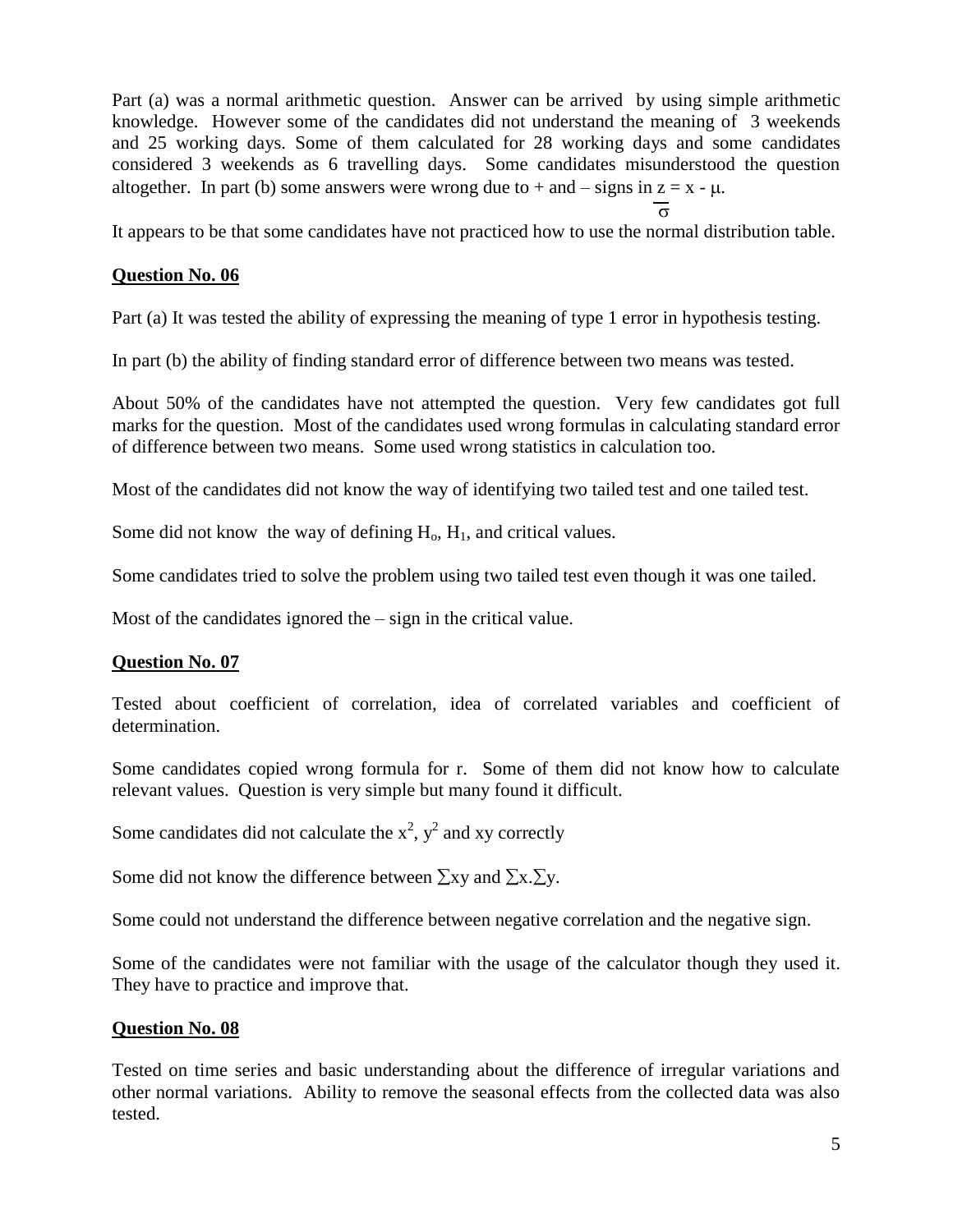Part (a) was a normal arithmetic question. Answer can be arrived by using simple arithmetic knowledge. However some of the candidates did not understand the meaning of 3 weekends and 25 working days. Some of them calculated for 28 working days and some candidates considered 3 weekends as 6 travelling days. Some candidates misunderstood the question altogether. In part (b) some answers were wrong due to  $+$  and  $-$  signs in  $z = x - \mu$ .

 $\overline{\sigma}$ 

It appears to be that some candidates have not practiced how to use the normal distribution table.

## **Question No. 06**

Part (a) It was tested the ability of expressing the meaning of type 1 error in hypothesis testing.

In part (b) the ability of finding standard error of difference between two means was tested.

About 50% of the candidates have not attempted the question. Very few candidates got full marks for the question. Most of the candidates used wrong formulas in calculating standard error of difference between two means. Some used wrong statistics in calculation too.

Most of the candidates did not know the way of identifying two tailed test and one tailed test.

Some did not know the way of defining  $H_0$ ,  $H_1$ , and critical values.

Some candidates tried to solve the problem using two tailed test even though it was one tailed.

Most of the candidates ignored the – sign in the critical value.

## **Question No. 07**

Tested about coefficient of correlation, idea of correlated variables and coefficient of determination.

Some candidates copied wrong formula for r. Some of them did not know how to calculate relevant values. Question is very simple but many found it difficult.

Some candidates did not calculate the  $x^2$ ,  $y^2$  and xy correctly

Some did not know the difference between  $\Sigma xy$  and  $\Sigma x.\Sigma y$ .

Some could not understand the difference between negative correlation and the negative sign.

Some of the candidates were not familiar with the usage of the calculator though they used it. They have to practice and improve that.

#### **Question No. 08**

Tested on time series and basic understanding about the difference of irregular variations and other normal variations. Ability to remove the seasonal effects from the collected data was also tested.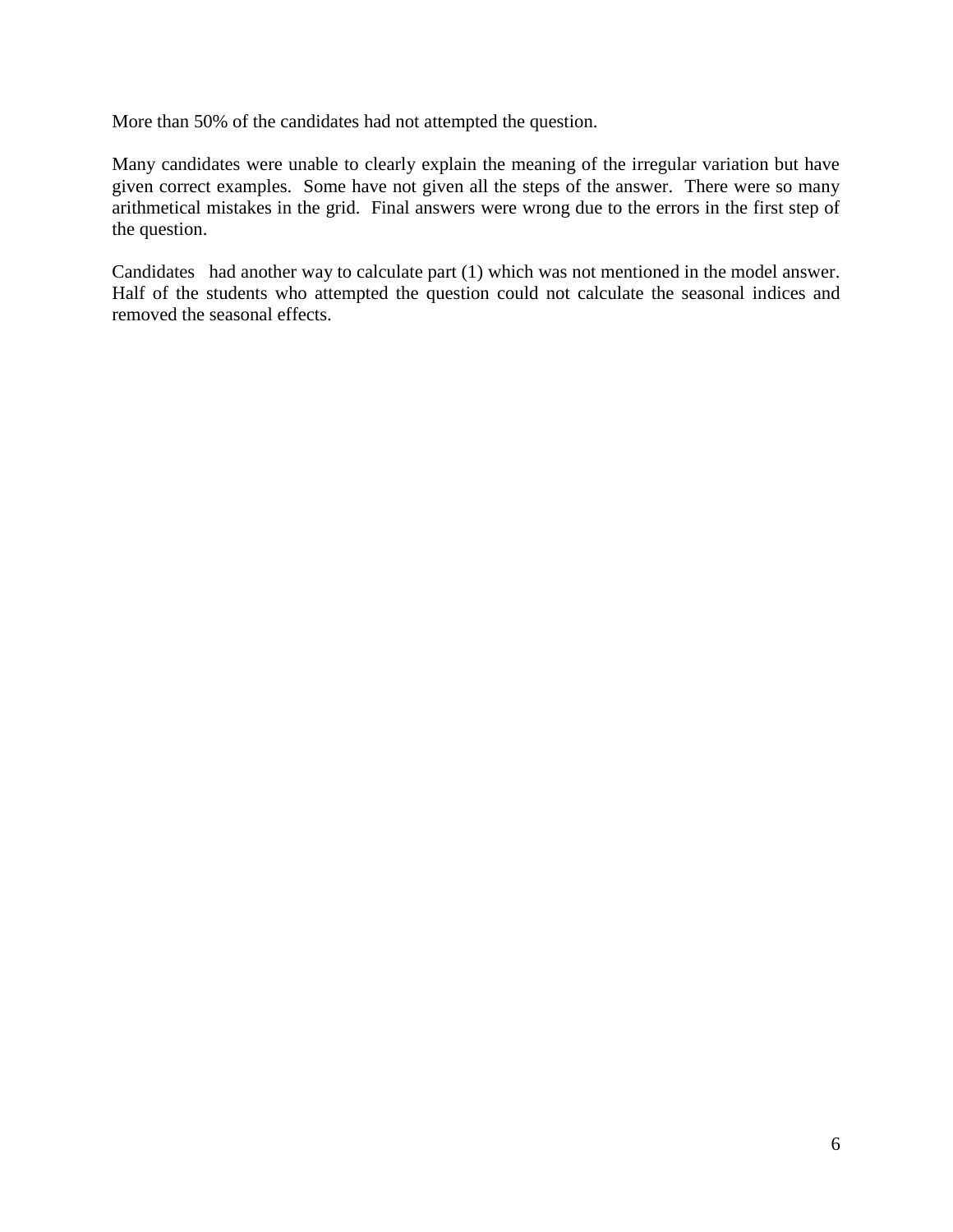More than 50% of the candidates had not attempted the question.

Many candidates were unable to clearly explain the meaning of the irregular variation but have given correct examples. Some have not given all the steps of the answer. There were so many arithmetical mistakes in the grid. Final answers were wrong due to the errors in the first step of the question.

Candidates had another way to calculate part (1) which was not mentioned in the model answer. Half of the students who attempted the question could not calculate the seasonal indices and removed the seasonal effects.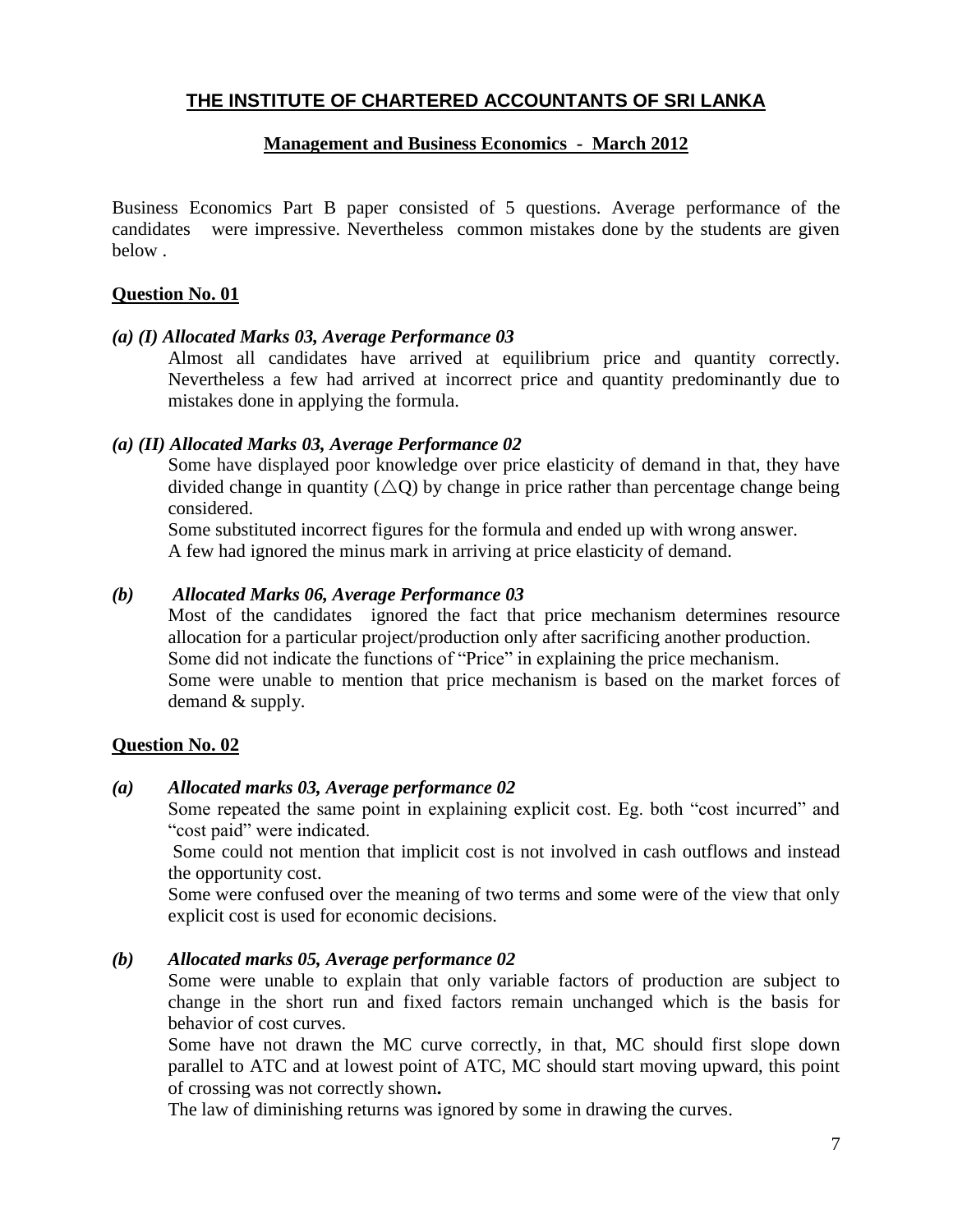#### **Management and Business Economics - March 2012**

Business Economics Part B paper consisted of 5 questions. Average performance of the candidates were impressive. Nevertheless common mistakes done by the students are given below .

#### **Question No. 01**

#### *(a) (I) Allocated Marks 03, Average Performance 03*

Almost all candidates have arrived at equilibrium price and quantity correctly. Nevertheless a few had arrived at incorrect price and quantity predominantly due to mistakes done in applying the formula.

#### *(a) (II) Allocated Marks 03, Average Performance 02*

Some have displayed poor knowledge over price elasticity of demand in that, they have divided change in quantity ( $\triangle Q$ ) by change in price rather than percentage change being considered.

Some substituted incorrect figures for the formula and ended up with wrong answer. A few had ignored the minus mark in arriving at price elasticity of demand.

#### *(b) Allocated Marks 06, Average Performance 03*

Most of the candidates ignored the fact that price mechanism determines resource allocation for a particular project/production only after sacrificing another production. Some did not indicate the functions of "Price" in explaining the price mechanism. Some were unable to mention that price mechanism is based on the market forces of demand & supply.

#### **Question No. 02**

#### *(a) Allocated marks 03, Average performance 02*

Some repeated the same point in explaining explicit cost. Eg. both "cost incurred" and "cost paid" were indicated.

Some could not mention that implicit cost is not involved in cash outflows and instead the opportunity cost.

Some were confused over the meaning of two terms and some were of the view that only explicit cost is used for economic decisions.

#### *(b) Allocated marks 05, Average performance 02*

Some were unable to explain that only variable factors of production are subject to change in the short run and fixed factors remain unchanged which is the basis for behavior of cost curves.

Some have not drawn the MC curve correctly, in that, MC should first slope down parallel to ATC and at lowest point of ATC, MC should start moving upward, this point of crossing was not correctly shown**.** 

The law of diminishing returns was ignored by some in drawing the curves.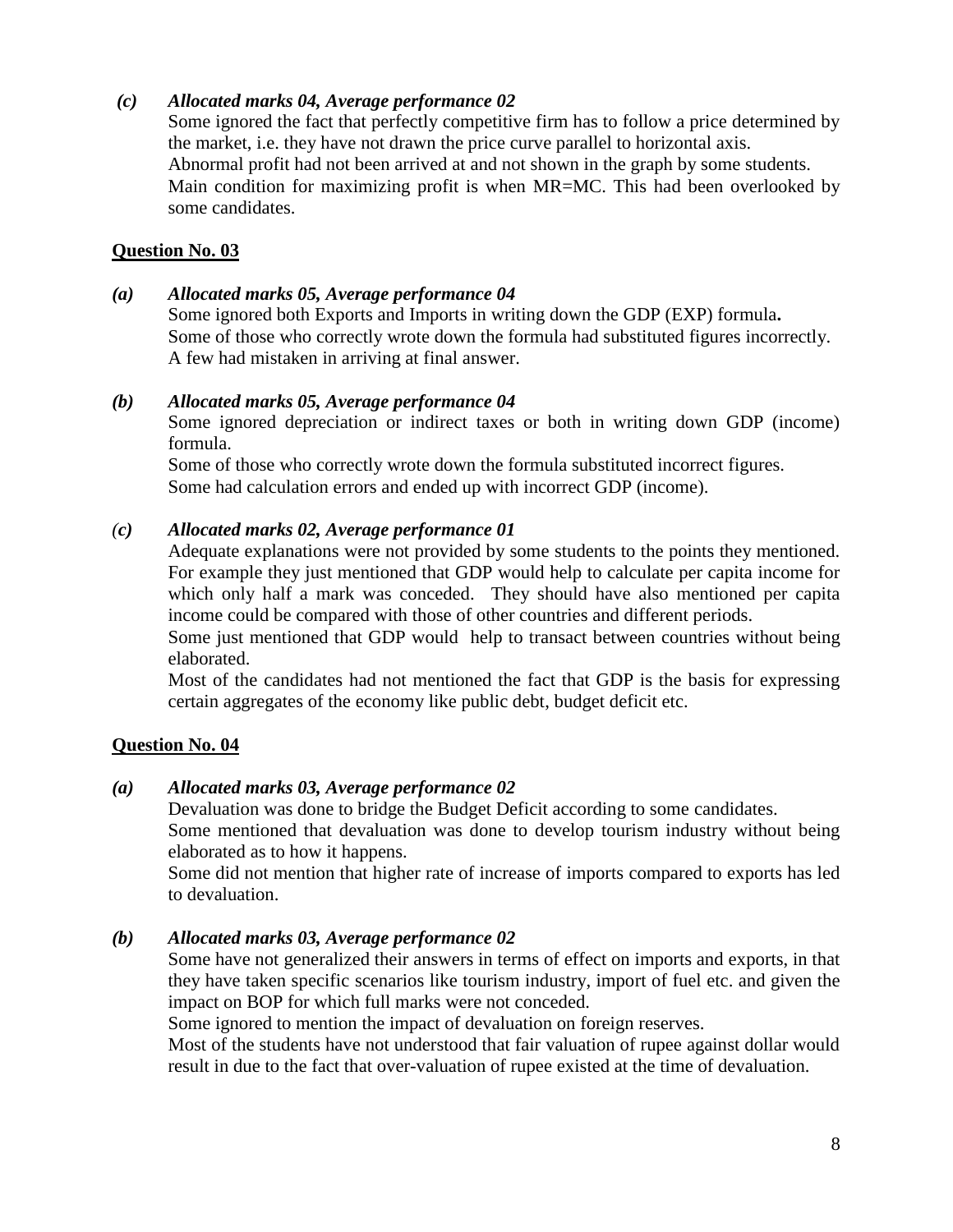## *(c) Allocated marks 04, Average performance 02*

Some ignored the fact that perfectly competitive firm has to follow a price determined by the market, i.e. they have not drawn the price curve parallel to horizontal axis. Abnormal profit had not been arrived at and not shown in the graph by some students. Main condition for maximizing profit is when MR=MC. This had been overlooked by some candidates.

#### **Question No. 03**

#### *(a) Allocated marks 05, Average performance 04*

Some ignored both Exports and Imports in writing down the GDP (EXP) formula**.** Some of those who correctly wrote down the formula had substituted figures incorrectly. A few had mistaken in arriving at final answer.

#### *(b) Allocated marks 05, Average performance 04*

Some ignored depreciation or indirect taxes or both in writing down GDP (income) formula.

Some of those who correctly wrote down the formula substituted incorrect figures. Some had calculation errors and ended up with incorrect GDP (income).

## *(c) Allocated marks 02, Average performance 01*

Adequate explanations were not provided by some students to the points they mentioned. For example they just mentioned that GDP would help to calculate per capita income for which only half a mark was conceded. They should have also mentioned per capita income could be compared with those of other countries and different periods.

Some just mentioned that GDP would help to transact between countries without being elaborated.

Most of the candidates had not mentioned the fact that GDP is the basis for expressing certain aggregates of the economy like public debt, budget deficit etc.

#### **Question No. 04**

#### *(a) Allocated marks 03, Average performance 02*

Devaluation was done to bridge the Budget Deficit according to some candidates.

Some mentioned that devaluation was done to develop tourism industry without being elaborated as to how it happens.

Some did not mention that higher rate of increase of imports compared to exports has led to devaluation.

#### *(b) Allocated marks 03, Average performance 02*

Some have not generalized their answers in terms of effect on imports and exports, in that they have taken specific scenarios like tourism industry, import of fuel etc. and given the impact on BOP for which full marks were not conceded.

Some ignored to mention the impact of devaluation on foreign reserves.

Most of the students have not understood that fair valuation of rupee against dollar would result in due to the fact that over-valuation of rupee existed at the time of devaluation.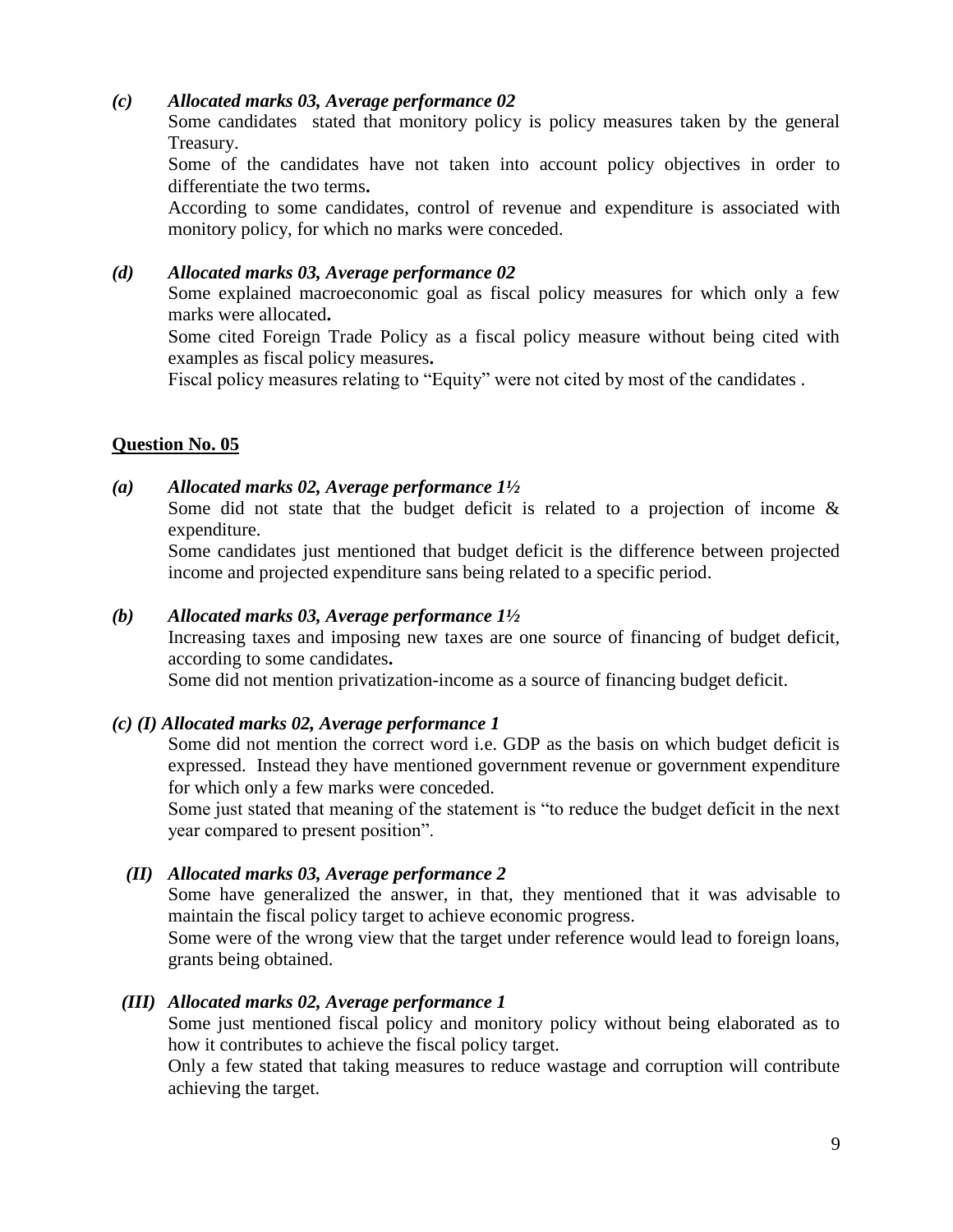## *(c) Allocated marks 03, Average performance 02*

Some candidates stated that monitory policy is policy measures taken by the general Treasury.

Some of the candidates have not taken into account policy objectives in order to differentiate the two terms**.** 

According to some candidates, control of revenue and expenditure is associated with monitory policy, for which no marks were conceded.

## *(d) Allocated marks 03, Average performance 02*

Some explained macroeconomic goal as fiscal policy measures for which only a few marks were allocated**.** 

Some cited Foreign Trade Policy as a fiscal policy measure without being cited with examples as fiscal policy measures**.** 

Fiscal policy measures relating to "Equity" were not cited by most of the candidates .

## **Question No. 05**

#### *(a) Allocated marks 02, Average performance 1½*

Some did not state that the budget deficit is related to a projection of income  $\&$ expenditure.

Some candidates just mentioned that budget deficit is the difference between projected income and projected expenditure sans being related to a specific period.

#### *(b) Allocated marks 03, Average performance 1½*

Increasing taxes and imposing new taxes are one source of financing of budget deficit, according to some candidates**.** 

Some did not mention privatization-income as a source of financing budget deficit.

#### *(c) (I) Allocated marks 02, Average performance 1*

Some did not mention the correct word i.e. GDP as the basis on which budget deficit is expressed. Instead they have mentioned government revenue or government expenditure for which only a few marks were conceded.

Some just stated that meaning of the statement is "to reduce the budget deficit in the next year compared to present position".

#### *(II) Allocated marks 03, Average performance 2*

Some have generalized the answer, in that, they mentioned that it was advisable to maintain the fiscal policy target to achieve economic progress.

Some were of the wrong view that the target under reference would lead to foreign loans, grants being obtained.

#### *(III) Allocated marks 02, Average performance 1*

Some just mentioned fiscal policy and monitory policy without being elaborated as to how it contributes to achieve the fiscal policy target.

Only a few stated that taking measures to reduce wastage and corruption will contribute achieving the target.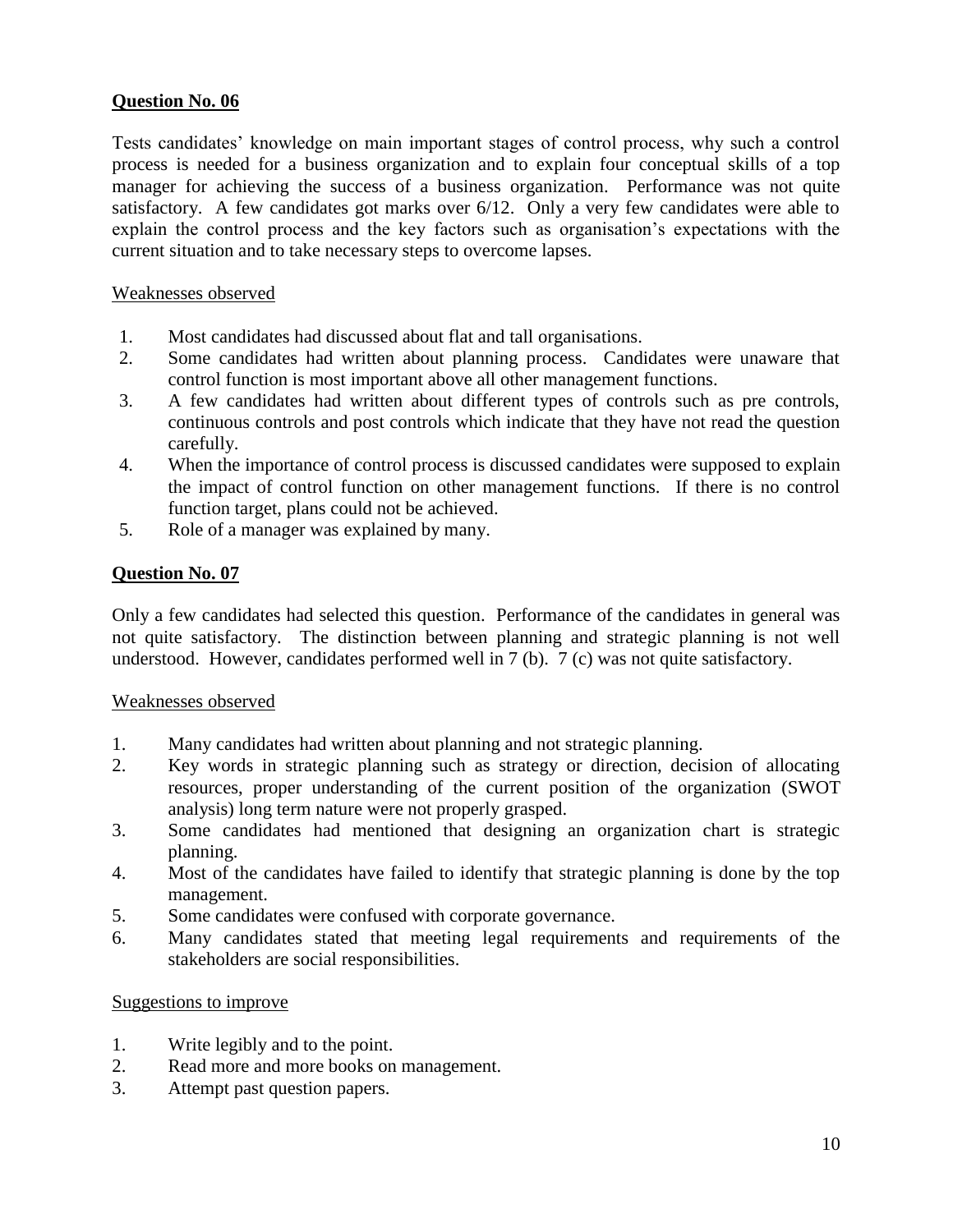## **Question No. 06**

Tests candidates' knowledge on main important stages of control process, why such a control process is needed for a business organization and to explain four conceptual skills of a top manager for achieving the success of a business organization. Performance was not quite satisfactory. A few candidates got marks over 6/12. Only a very few candidates were able to explain the control process and the key factors such as organisation's expectations with the current situation and to take necessary steps to overcome lapses.

## Weaknesses observed

- 1. Most candidates had discussed about flat and tall organisations.
- 2. Some candidates had written about planning process. Candidates were unaware that control function is most important above all other management functions.
- 3. A few candidates had written about different types of controls such as pre controls, continuous controls and post controls which indicate that they have not read the question carefully.
- 4. When the importance of control process is discussed candidates were supposed to explain the impact of control function on other management functions. If there is no control function target, plans could not be achieved.
- 5. Role of a manager was explained by many.

## **Question No. 07**

Only a few candidates had selected this question. Performance of the candidates in general was not quite satisfactory. The distinction between planning and strategic planning is not well understood. However, candidates performed well in 7 (b). 7 (c) was not quite satisfactory.

#### Weaknesses observed

- 1. Many candidates had written about planning and not strategic planning.
- 2. Key words in strategic planning such as strategy or direction, decision of allocating resources, proper understanding of the current position of the organization (SWOT analysis) long term nature were not properly grasped.
- 3. Some candidates had mentioned that designing an organization chart is strategic planning.
- 4. Most of the candidates have failed to identify that strategic planning is done by the top management.
- 5. Some candidates were confused with corporate governance.
- 6. Many candidates stated that meeting legal requirements and requirements of the stakeholders are social responsibilities.

#### Suggestions to improve

- 1. Write legibly and to the point.
- 2. Read more and more books on management.
- 3. Attempt past question papers.